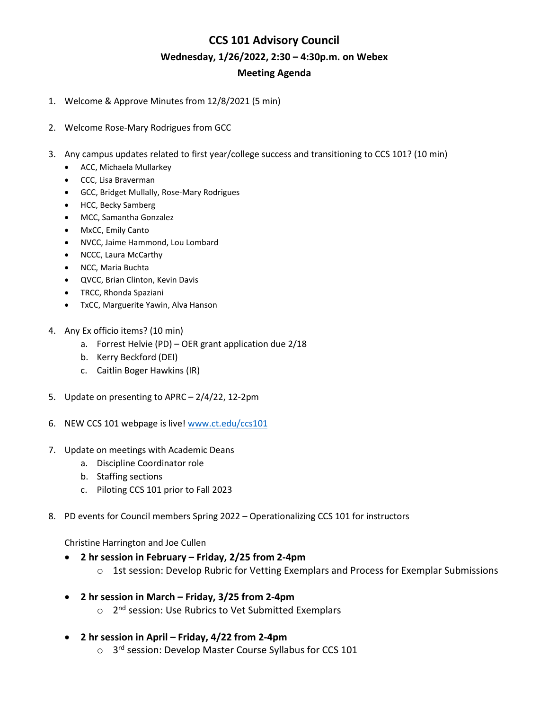# **CCS 101 Advisory Council Wednesday, 1/26/2022, 2:30 – 4:30p.m. on Webex Meeting Agenda**

- 1. Welcome & Approve Minutes from 12/8/2021 (5 min)
- 2. Welcome Rose-Mary Rodrigues from GCC
- 3. Any campus updates related to first year/college success and transitioning to CCS 101? (10 min)
	- ACC, Michaela Mullarkey
	- CCC, Lisa Braverman
	- GCC, Bridget Mullally, Rose-Mary Rodrigues
	- HCC, Becky Samberg
	- MCC, Samantha Gonzalez
	- MxCC, Emily Canto
	- NVCC, Jaime Hammond, Lou Lombard
	- NCCC, Laura McCarthy
	- NCC, Maria Buchta
	- QVCC, Brian Clinton, Kevin Davis
	- TRCC, Rhonda Spaziani
	- TxCC, Marguerite Yawin, Alva Hanson
- 4. Any Ex officio items? (10 min)
	- a. Forrest Helvie (PD) OER grant application due 2/18
	- b. Kerry Beckford (DEI)
	- c. Caitlin Boger Hawkins (IR)
- 5. Update on presenting to APRC 2/4/22, 12-2pm
- 6. NEW CCS 101 webpage is live[! www.ct.edu/ccs101](http://www.ct.edu/ccs101)
- 7. Update on meetings with Academic Deans
	- a. Discipline Coordinator role
	- b. Staffing sections
	- c. Piloting CCS 101 prior to Fall 2023
- 8. PD events for Council members Spring 2022 Operationalizing CCS 101 for instructors

Christine Harrington and Joe Cullen

- **2 hr session in February – Friday, 2/25 from 2-4pm**
	- $\circ$  1st session: Develop Rubric for Vetting Exemplars and Process for Exemplar Submissions
- **2 hr session in March – Friday, 3/25 from 2-4pm**
	- o 2<sup>nd</sup> session: Use Rubrics to Vet Submitted Exemplars
- **2 hr session in April – Friday, 4/22 from 2-4pm**
	- o 3<sup>rd</sup> session: Develop Master Course Syllabus for CCS 101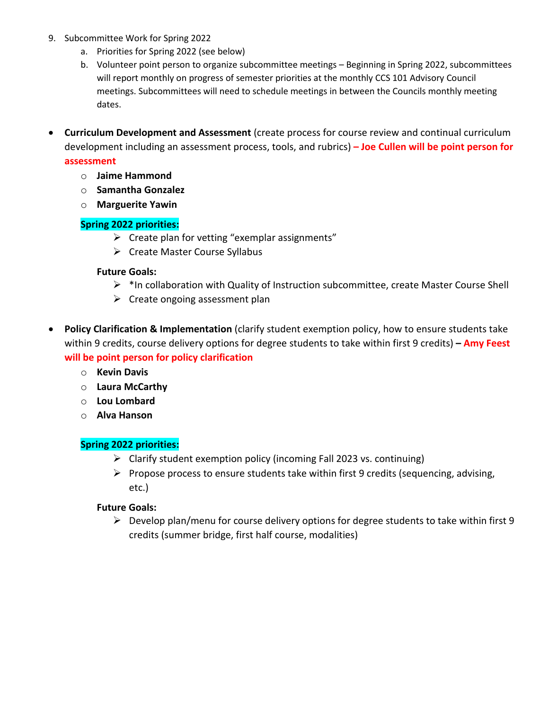- 9. Subcommittee Work for Spring 2022
	- a. Priorities for Spring 2022 (see below)
	- b. Volunteer point person to organize subcommittee meetings Beginning in Spring 2022, subcommittees will report monthly on progress of semester priorities at the monthly CCS 101 Advisory Council meetings. Subcommittees will need to schedule meetings in between the Councils monthly meeting dates.
- **Curriculum Development and Assessment** (create process for course review and continual curriculum development including an assessment process, tools, and rubrics) **– Joe Cullen will be point person for**

#### **assessment**

- o **Jaime Hammond**
- o **Samantha Gonzalez**
- o **Marguerite Yawin**

## **Spring 2022 priorities:**

- $\triangleright$  Create plan for vetting "exemplar assignments"
- $\triangleright$  Create Master Course Syllabus

#### **Future Goals:**

- $\triangleright$  \*In collaboration with Quality of Instruction subcommittee, create Master Course Shell
- $\triangleright$  Create ongoing assessment plan
- **Policy Clarification & Implementation** (clarify student exemption policy, how to ensure students take within 9 credits, course delivery options for degree students to take within first 9 credits) **– Amy Feest will be point person for policy clarification**
	- o **Kevin Davis**
	- o **Laura McCarthy**
	- o **Lou Lombard**
	- o **Alva Hanson**

# **Spring 2022 priorities:**

- $\triangleright$  Clarify student exemption policy (incoming Fall 2023 vs. continuing)
- $\triangleright$  Propose process to ensure students take within first 9 credits (sequencing, advising, etc.)

## **Future Goals:**

 $\triangleright$  Develop plan/menu for course delivery options for degree students to take within first 9 credits (summer bridge, first half course, modalities)